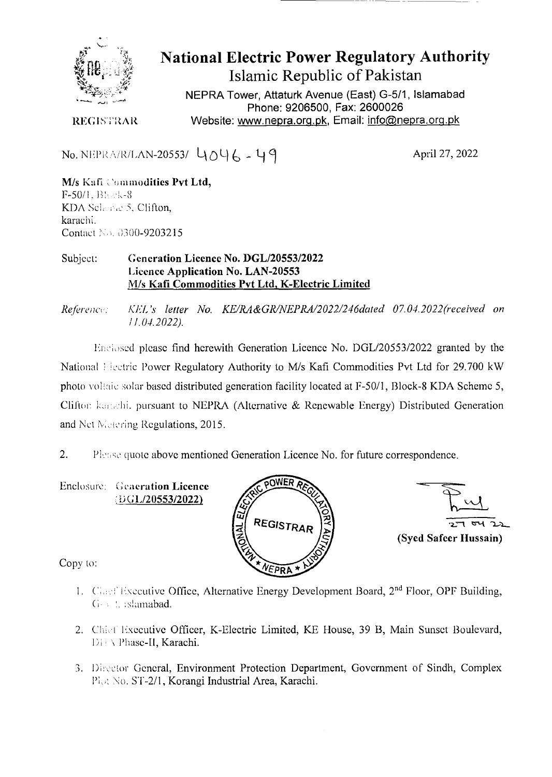

# **National Electric Power Regulatory Authority Islamic Republic of Pakistan**

NEPRA Tower, Attaturk Avenue (East) G-511, Islamabad Phone: 9206500, Fax: 2600026 Website: www.nepra.org.pk, Email: info@nepra.org.pk

REGISTRAR

No. NEPRA/R/LAN-20553/  $4046 - 49$  April 27, 2022

M/s Kafi Commodities Pvt Ltd, F-50/1. Bl. ek-8 KDA Scherne 5, Clifton, karachi. Contact No. 0300-9203215

### Subject: **Generation Licence No. DGL/20553/2022 Licence Application No. LAN-20553**  *MIs* **Kafi Commodities Pvt Ltd.** K**-Electric Limited**

*ReftreI7c: KLL 's letter No. KE/RA&GR/NEPRA/2022/246dated 07.04.2022(received on J1.04.2022).* 

Enclosed please find herewith Generation Licence No. DGL/20553/2022 granted by the National Lietric Power Regulatory Authority to M/s Kafi Commodities Pvt Ltd for 29.700 kW photo voltaic solar based distributed generation facility located at *F-50/l, Block-8 KDA Scheme 5,* **Clifton kanehi**, pursuant to NEPRA (Alternative & Renewable Energy) Distributed Generation and Net Metering Regulations, 2015.

2. Please quote above mentioned Generation Licence No. for future correspondence.

**Enclosure:** Generation Licence **iG1J2O553/2022)** 



 $27$  oy

**(Syed Safeer Hussain)** 

Copy to:

- 1. Casef Executive Office, Alternative Energy Development Board, 2<sup>nd</sup> Floor, OPF Building, G-8 2. islamabad.
- 2. Chief Executive Officer, K-Electric Limited, KE House, 39 B, Main Sunset Boulevard, Di: \ Phase-II, Karachi.
- 3. Director General, Environment Protection Department, Government of Sindh, Complex Pka No. ST-2/1, Korangi Industrial Area, Karachi.